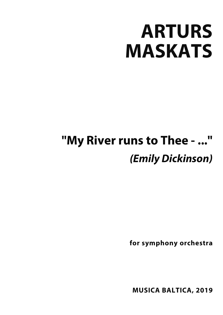# **ARTURS MASKATS**

## "My River runs to Thee - ..." (Emily Dickinson)

for symphony orchestra

**MUSICA BALTICA, 2019**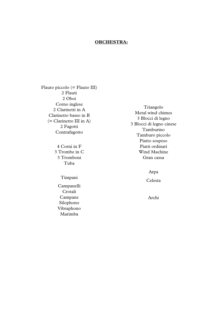### **ORCHESTRA:**

Flauto piccolo (= Flauto III) 2 Flauti 2 Oboi Corno inglese 2 Clarinetti in A Clarinetto basso in B (= Clarinetto III in A) 2 Fagotti Contrafagotto

> 4 Corni in F 3 Trombe in C 3 Tromboni Tuba

#### Timpani

Campanelli Crotali Campane Silophono Vibraphono Marimba

Triangolo Metal wind chimes 3 Blocci di legno 3 Blocci di legno cinese Tamburino Tamburo piccolo Piatto sospeso Piatti ordinari Wind Machine Gran cassa

Arpa

Celesta

Archi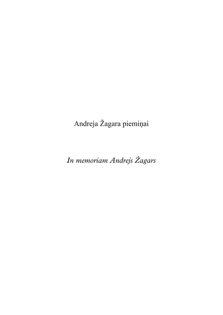Andreja Žagara piemiņai

In memoriam Andrejs Žagars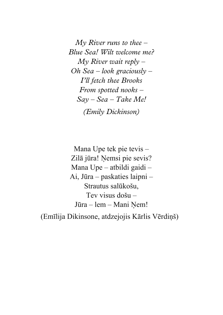$My$  River runs to thee  $-$ Blue Sea! Wilt welcome me?  $My$  River wait reply  $-$ Oh Sea  $-$  look graciously  $-$ I'll fetch thee Brooks From spotted nooks - $Say - Sea - Take Me!$ (Emily Dickinson)

Mana Upe tek pie tevis -Zilā jūra! Ņemsi pie sevis? Mana Upe - atbildi gaidi -Ai, Jūra – paskaties laipni – Strautus salūkošu, Tev visus došu – Jūra – lem – Mani Ņem! (Emīlija Dikinsone, atdzejojis Kārlis Vērdiņš)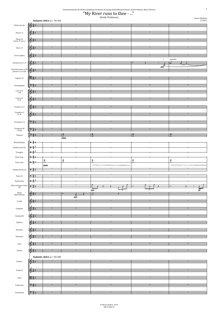### $\label{cor:main} {\it Commissioned~by~the~Boston~Symphony~Orchetsra~\&~Leipzig~Gewandhausorchester, Andris~Nelson, Music~Director\\ "My River runs to the 0 - ..."\\ \noindent {\it (Emily Dickinson)}$

|                                                                              |                                | Andante, dolce $\left(\rule{0pt}{10pt}\right.-56\cdot 60)$ |           | (Emily Dickinson) |               |             |                          | Arturs Maskats<br>(*1957) |
|------------------------------------------------------------------------------|--------------------------------|------------------------------------------------------------|-----------|-------------------|---------------|-------------|--------------------------|---------------------------|
| Flauto piccolo                                                               | 肠                              |                                                            |           |                   |               |             |                          |                           |
| Flauti I, II                                                                 | 641                            |                                                            |           |                   |               |             |                          |                           |
| $\begin{array}{c} \text{Flauto III} \\ \text{(anche Fl. picc.)} \end{array}$ | $\frac{7}{2}$                  |                                                            |           |                   |               |             |                          |                           |
| Oboi I, II                                                                   | 64.5                           |                                                            |           |                   |               |             |                          |                           |
|                                                                              |                                |                                                            |           |                   |               |             |                          |                           |
| Corno inglese                                                                | 64.5                           |                                                            |           |                   |               | $\mathbf I$ | can table                |                           |
| Clarinetti in A I, II                                                        | 64                             |                                                            |           |                   |               | ppp         | $\overline{\phantom{a}}$ |                           |
| Clarinetto basso in Bb<br>(anche Cl. in A III)                               | 64                             |                                                            |           |                   |               |             |                          |                           |
| Fagotti I, II                                                                | $\mathbb{B}_{4}$ .             |                                                            |           |                   |               |             |                          |                           |
| Contrafagotto                                                                | 947                            |                                                            |           |                   |               |             |                          |                           |
| $\begin{array}{c} \mbox{Corni in F} \\ \mbox{I, III} \end{array}$            | 64                             |                                                            |           |                   |               |             |                          |                           |
| Corni in F $_{\rm II, \ IV}$                                                 | 64.5                           |                                                            |           |                   |               |             |                          |                           |
|                                                                              |                                |                                                            |           |                   |               |             |                          |                           |
| Tromba in C I                                                                | 64.1                           |                                                            |           |                   |               |             |                          |                           |
| Trombe in $\mathbb C$ II, III                                                | 64                             |                                                            |           |                   |               |             |                          |                           |
| Tromboni I, II                                                               | 241                            |                                                            |           |                   |               |             |                          |                           |
| $\begin{array}{c} {\rm Trombone \ III}\\ {\rm e \ Tuba} \end{array}$         | 941                            |                                                            |           |                   |               |             |                          |                           |
| Timpani                                                                      | 9.44                           |                                                            | á<br>pppp | Ë                 | å             |             | ₹                        |                           |
| Wind Machine                                                                 | [# 4 )                         |                                                            |           |                   |               |             |                          |                           |
| Tamburo piccolo                                                              | $+4$                           |                                                            |           |                   |               |             |                          |                           |
| Triangolo<br>Piatti sosp.                                                    | $+4$<br>$+2$                   |                                                            |           |                   |               |             |                          |                           |
| Gran cassa                                                                   | $+4$                           | š                                                          | E         | $\frac{3}{10}$    | $\frac{3}{2}$ |             | ă                        |                           |
| Temple blocks (3)                                                            | $+4$                           | <b>PPPP</b>                                                |           |                   |               |             |                          |                           |
| Toms $(3)$                                                                   | $+4$                           |                                                            |           |                   |               |             |                          |                           |
| Tambourine                                                                   | $+$ <sup>4<math>+</math></sup> |                                                            |           |                   |               |             |                          |                           |
| Blocci di legno cinese<br>(3)                                                | $+4$                           |                                                            |           | $\cal PP\cal P$   | 3             |             |                          | $\boldsymbol{pp}$         |
| $$\tt Metal$$ Wind Chimes                                                    | 64                             |                                                            |           | IJ                |               |             |                          |                           |
| Crotali                                                                      | 64.                            |                                                            | ppp       |                   |               |             |                          |                           |
| Campane                                                                      | 64                             |                                                            |           |                   |               |             |                          |                           |
| Campanelli                                                                   | 611                            |                                                            |           |                   |               |             |                          |                           |
| Silofono                                                                     | $\frac{7}{64}$                 |                                                            |           |                   |               |             |                          |                           |
|                                                                              |                                |                                                            |           |                   |               |             |                          |                           |
| Marimba                                                                      | 8641                           |                                                            |           |                   |               |             |                          |                           |
| Vibrafono                                                                    | 861                            |                                                            |           |                   |               |             |                          |                           |
| Arpe                                                                         | 64.                            |                                                            |           |                   |               |             |                          |                           |
| Celesta                                                                      | 64.                            |                                                            |           |                   |               |             |                          |                           |
| Violini I                                                                    | 6                              | Andante, dolce $\left(\frac{1}{2}\right) = 56 - 60$        |           |                   |               |             |                          |                           |
|                                                                              |                                |                                                            |           |                   |               |             |                          |                           |
| Violini II                                                                   | 64.                            |                                                            |           |                   |               |             |                          |                           |
| Viole                                                                        | $\mathbb{B}4$ :                |                                                            |           |                   |               |             |                          |                           |
| Violoncelli                                                                  | $24$ i                         |                                                            |           |                   |               |             |                          |                           |
| Contrabassi                                                                  | 9:3:                           |                                                            |           |                   |               |             |                          |                           |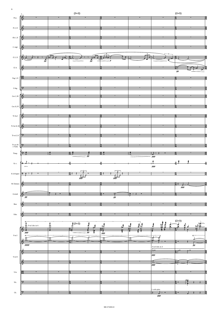